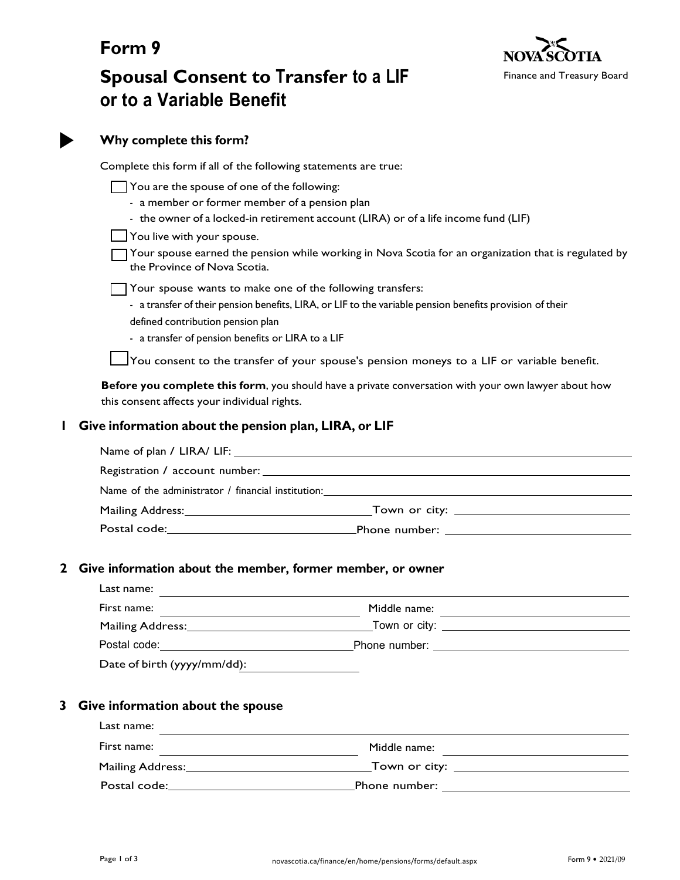

# **Form 9 Spousal Consent to Transfer to a LIF or to a Variable Benefit**

|              | Why complete this form?                                                                                                                                                  |                                                                                                                                                                                               |  |
|--------------|--------------------------------------------------------------------------------------------------------------------------------------------------------------------------|-----------------------------------------------------------------------------------------------------------------------------------------------------------------------------------------------|--|
|              | Complete this form if all of the following statements are true:                                                                                                          |                                                                                                                                                                                               |  |
|              | You are the spouse of one of the following:<br>- a member or former member of a pension plan<br>You live with your spouse.<br>the Province of Nova Scotia.               | - the owner of a locked-in retirement account (LIRA) or of a life income fund (LIF)<br>Your spouse earned the pension while working in Nova Scotia for an organization that is regulated by [ |  |
|              | Your spouse wants to make one of the following transfers:<br>defined contribution pension plan<br>- a transfer of pension benefits or LIRA to a LIF                      | - a transfer of their pension benefits, LIRA, or LIF to the variable pension benefits provision of their                                                                                      |  |
|              | $\sqrt{}$ You consent to the transfer of your spouse's pension moneys to a LIF or variable benefit.                                                                      |                                                                                                                                                                                               |  |
|              | this consent affects your individual rights.                                                                                                                             | Before you complete this form, you should have a private conversation with your own lawyer about how                                                                                          |  |
| I            | Give information about the pension plan, LIRA, or LIF                                                                                                                    |                                                                                                                                                                                               |  |
|              |                                                                                                                                                                          |                                                                                                                                                                                               |  |
|              |                                                                                                                                                                          |                                                                                                                                                                                               |  |
|              |                                                                                                                                                                          |                                                                                                                                                                                               |  |
|              |                                                                                                                                                                          |                                                                                                                                                                                               |  |
|              |                                                                                                                                                                          |                                                                                                                                                                                               |  |
| $\mathbf{z}$ | Give information about the member, former member, or owner                                                                                                               |                                                                                                                                                                                               |  |
|              | Last name:                                                                                                                                                               |                                                                                                                                                                                               |  |
|              | First name:                                                                                                                                                              |                                                                                                                                                                                               |  |
|              |                                                                                                                                                                          |                                                                                                                                                                                               |  |
|              |                                                                                                                                                                          |                                                                                                                                                                                               |  |
|              | Date of birth (yyyy/mm/dd):                                                                                                                                              |                                                                                                                                                                                               |  |
| 3            | Give information about the spouse<br>Last name:<br><u> 1989 - Johann Stein, marwolaethau a bhann an chomhair an chomhair an chomhair an chomhair an chomhair an chom</u> |                                                                                                                                                                                               |  |
|              |                                                                                                                                                                          |                                                                                                                                                                                               |  |
|              |                                                                                                                                                                          |                                                                                                                                                                                               |  |
|              |                                                                                                                                                                          | Mailing Address: 1988 Mailing Address: 1988 Mailing Address: 1988 Mailing Address: 1988 Mailing Address: 1988                                                                                 |  |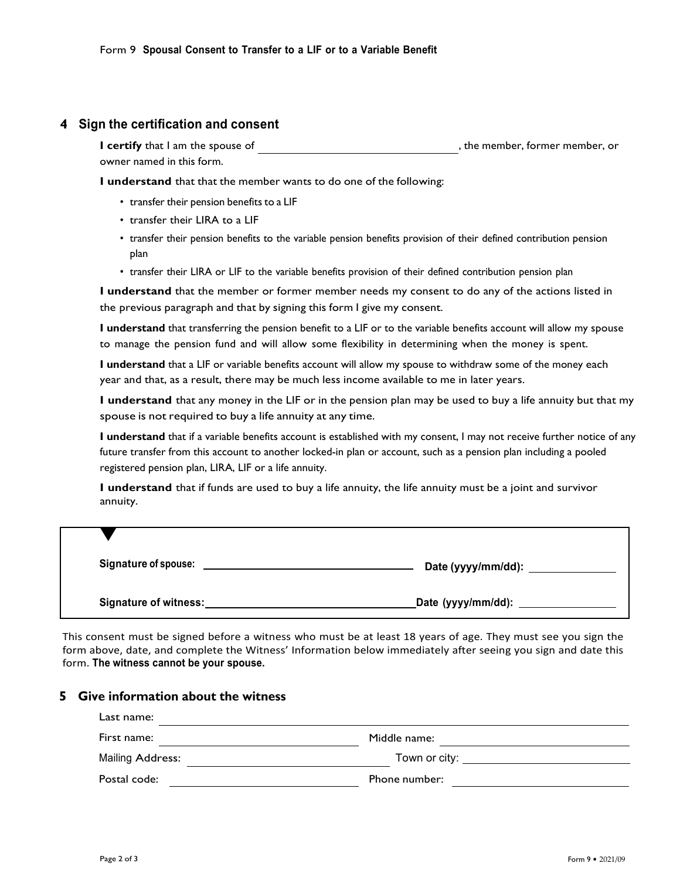### **4 Sign the certification and consent**

**I certify** that I am the spouse of  $\qquad \qquad$ , the member, former member, or owner named in this form.

**I understand** that that the member wants to do one of the following:

- transfer their pension benefits to a LIF
- transfer their LIRA to a LIF
- transfer their pension benefits to the variable pension benefits provision of their defined contribution pension plan
- transfer their LIRA or LIF to the variable benefits provision of their defined contribution pension plan

**I understand** that the member or former member needs my consent to do any of the actions listed in the previous paragraph and that by signing this form I give my consent.

**I understand** that transferring the pension benefit to a LIF or to the variable benefits account will allow my spouse to manage the pension fund and will allow some flexibility in determining when the money is spent.

**I understand** that a LIF or variable benefits account will allow my spouse to withdraw some of the money each year and that, as a result, there may be much less income available to me in later years.

**I understand** that any money in the LIF or in the pension plan may be used to buy a life annuity but that my spouse is not required to buy a life annuity at any time.

**I understand** that if a variable benefits account is established with my consent, I may not receive further notice of any future transfer from this account to another locked-in plan or account, such as a pension plan including a pooled registered pension plan, LIRA, LIF or a life annuity.

**I understand** that if funds are used to buy a life annuity, the life annuity must be a joint and survivor annuity.

| <b>Signature of spouse:</b> | Date (yyyy/mm/dd): |
|-----------------------------|--------------------|
| Signature of witness:       | Date (yyyy/mm/dd): |

This consent must be signed before a witness who must be at least 18 years of age. They must see you sign the form above, date, and complete the Witness' Information below immediately after seeing you sign and date this form. **The witness cannot be your spouse.**

# **5 Give information about the witness**

| Last name:              |                                            |  |
|-------------------------|--------------------------------------------|--|
| First name:             | Middle name:                               |  |
| <b>Mailing Address:</b> | Town or city: <u>_____________________</u> |  |
| Postal code:            | Phone number:                              |  |